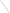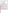| UNITED STATES ENVIRONMENTAL PROTECTION AGENCY<br>UNITED ST.<br>Office of Research and Development<br>Washington, D.C. 20460<br>ETV<br>ENVIRONMENTAL TECHNOLOGY VERIFICATION PROGRAM<br><b>VERIFICATION STATEMENT</b> |                                                                                                      |
|----------------------------------------------------------------------------------------------------------------------------------------------------------------------------------------------------------------------|------------------------------------------------------------------------------------------------------|
| TECHNOLOGY TYPE:                                                                                                                                                                                                     | <b>SOIL SAMPLER</b>                                                                                  |
| APPLICATION:                                                                                                                                                                                                         | <b>SUBSURFACE SOIL SAMPLING</b>                                                                      |
|                                                                                                                                                                                                                      | TECHNOLOGY NAME: AMS™ DUAL TUBE LINER SAMPLER                                                        |
| COMPANY:<br><b>ADDRESS:</b>                                                                                                                                                                                          | <b>ART'S MANUFACTURING AND SUPPLY</b><br><b>105 HARRISON STREET</b><br>AMERICAN FALLS, INDIANA 83211 |
| PHONE:                                                                                                                                                                                                               | $(800)$ 635-7330                                                                                     |

# ETV PROGRAM DESCRIPTION

The U.S. Environmental Protection Agency (EPA) created the Environmental Technology Verification (ETV) Program to facilitate the deployment of innovative technologies through performance verification and information dissemination. The goal of the ETV Program is to further environmental protection by substantially accelerating the acceptance and use of improved and cost-effective technologies. The ETV Program is intended to assist and inform those involved in the design, distribution, permitting, and purchase of environmental technologies. This document summarizes the results of a demonstration of the AMS™ Dual Tube Liner Sampler.

## PROGRAM OPERATION

Under the ETV Program and with the full participation of the technology developer, the EPA evaluates the performance of innovative technologies by developing demonstration plans, conducting field tests, collecting and analyzing demonstration data, and preparing reports. The technologies are evaluated under rigorous quality assurance (QA) protocols to ensure that data of known and adequate quality are generated and that the demonstration results are defensible. The EPA's National Exposure Research Laboratory, which demonstrates field characterization and monitoring technologies, selected Tetra Tech EM Inc. as the verification organization to assist in field testing various soil and soil gas sampling technologies. This demonstration was conducted under the EPA's Superfund Innovative Technology Evaluation Program.

## DEMONSTRATION DESCRIPTION

In May and June 1997, the EPA conducted a field test of the AMS™ Dual Tube Liner Sampler along with three other soil and two soil gas sampling technologies. This verification statement focuses on the AMS™ Dual Tube Liner Sampler; similar statements have been prepared for each of the other technologies. The performance of the Dual Tube Liner Sampler was compared to a reference subsurface soil sampling method (hollow-stem auger drilling and split-spoon sampling) in terms of the following parameters: (1) sample recovery, (2) volatile organic compound (VOC) concentrations in recovered samples, (3) sample integrity, (4) reliability and throughput, and (5) cost. Data quality indicators for precision, accuracy, representativeness, completeness, and comparability were also assessed against project-specific QA objectives to ensure the usefulness of the data.

The Dual Tube Liner Sampler was demonstrated at two sites: the Small Business Administration (SBA) site in Albert City, Iowa, and the Chemical Sales Company (CSC) site in Denver, Colorado. These sites were chosen because of the wide range of VOC concentrations detected at the sites and because each has a distinct soil type. The VOCs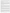detected at the sites include cis-1,2-dichloroethene (cis-1,2-DCE); 1,1,1-trichloroethane (1,1,1-TCA); trichloroethene (TCE); and tetrachloroethene (PCE). Soils at the SBA site are composed primarily of clay, and soils at the CSC site are composed primarily of medium- to fine-grained sand. A complete description of the demonstration, including a data summary and discussion of results, is available in a report titled *Environmental Technology Verification Report: Soil Sampler, Art's Manufacturing and Supply, AMSTM Dual Tube Liner Sampler*, EPA 600/R-98/093.

## **TECHNOLOGY DESCRIPTION**

The Dual Tube Liner Sampler was designed to collect subsurface soil samples by using direct-push platform technology. The sampler assembly is constructed of two steel tubes, or "extensions," of differing diameters designed so that the smaller of the two tubes fits within the larger. The outer extension is available in two diameters, 2-1/8-inch outside diameter (o.d.) and 1-3/4-inch o.d., and is equipped with a metal drive tip at the lower end. The outer extension is threaded at the upper end to facilitate additional metal extensions with increasing depth and the addition of a drive head adaptor to the top of the tool string. The inner extension is also available in two diameters, 1-3/4-inch o.d. and 1-1/8-inch o.d., to match the selected outer extension diameter. The lower end of the inner extension is threaded with a plastic grabber to facilitate the attachment of a polybutyrate liner during sample collection or a solid point metal inner drive tip during sampler advancement. The components of the sampler are assembled such that the outer extension serves as a temporary casing so that continuous or discrete soil samples can be collected using the inner extension liner and drive tip assemblies.

### **VERIFICATION OF PERFORMANCE**

The demonstration data indicate the following performance characteristics for the  $AMS<sup>TM</sup>$  Dual Tube Liner Sampler:

**Sample Recovery**: For the purposes of this demonstration, sample recovery was defined as the ratio of the length of recovered sample to the length of sampler advancement. Sample recoveries from 42 samples collected at the SBA site ranged from 42 to 100 percent, with an average sample recovery of 91 percent. Sample recoveries from 42 samples collected at the CSC site ranged from 46 to 88 percent, with an average sample recovery of 70 percent. Using the reference method, sample recoveries from 41 samples collected at the SBA site ranged from 40 to 100 percent, with an average recovery of 88 percent. Sample recoveries from the 42 samples collected at the CSC site ranged from 53 to 100 percent, with an average recovery of 87 percent. A comparison of recovery data from the Dual Tube Liner Sampler and the reference sampler indicates that the Dual Tube Liner Sampler achieved higher recoveries in the clay soil at the SBA site and lower sample recoveries in the sandy soil at the CSC site relative to the sample recoveries achieved by the reference sampling method.

*Volatile Organic Compound Concentrations:* Soil samples collected using the Dual Tube Liner Sampler and the reference sampling method at six sampling depths in nine grids (five at the SBA site and four at the CSC site) were analyzed for VOCs. For 21 of the 25 Dual Tube Liner Sampler and reference sampling method pairs (12 at the SBA site and 13 at the CSC site), a statistical analysis using the Mann-Whitney test indicated no significant statistical difference at the 95 percent confidence level between the VOC concentrations in samples collected with the Dual Tube Liner Sampler and those collected with the reference sampling method. Of the sample pairs where a statistically significant difference was identified, one was at the SBA site and three were at the CSC site. Analysis of the CSC site data, using the sign test, indicated no statistical difference between data obtained by the Dual Tube Liner Sampler and the reference method at the CSC and SBA sites.

*Sample Integrity*: A total of 12 integrity samples were collected with both sampling methods at each site to determine if potting soil in sampler interiors became contaminated after it was advanced through a zone of high VOC concentrations. For the Dual Tube Liner Sampler, VOCs were detected in only one of the 12 integrity samples. The sample was collected at the CSC site. The VOC detected in the potting soil at the CSC site was cis-1,2-DCE at a concentration of 6.07 micrograms per kilogram ( $\mu$ g/kg). These results indicate that the integrity of a lined chamber in the Dual Tube Liner Sampler is generally well preserved when the sampler is advanced through highly contaminated soils. Results of sample integrity tests for the reference sampling method indicate no contamination in the potting soil after advancement through a zone of high VOC concentrations. Because potting soil has an organic carbon content many times greater than typical soils, the integrity tests represent a worst-case scenario for VOC absorbance and may not be representative of crosscontamination under normal field conditions.